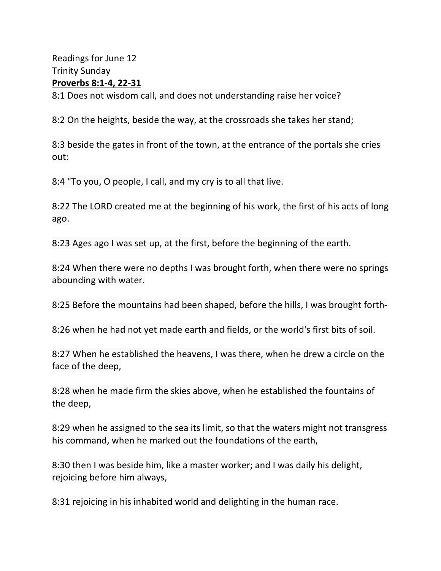Readings for June 12 Trinity Sunday **Proverbs 8:1-4, 22-31** 8:1 Does not wisdom call, and does not understanding raise her voice?

8:2 On the heights, beside the way, at the crossroads she takes her stand;

8:3 beside the gates in front of the town, at the entrance of the portals she cries out:

8:4 "To you, O people, I call, and my cry is to all that live.

8:22 The LORD created me at the beginning of his work, the first of his acts of long ago.

8:23 Ages ago I was set up, at the first, before the beginning of the earth.

8:24 When there were no depths I was brought forth, when there were no springs abounding with water.

8:25 Before the mountains had been shaped, before the hills, I was brought forth-

8:26 when he had not yet made earth and fields, or the world's first bits of soil.

8:27 When he established the heavens, I was there, when he drew a circle on the face of the deep,

8:28 when he made firm the skies above, when he established the fountains of the deep,

8:29 when he assigned to the sea its limit, so that the waters might not transgress his command, when he marked out the foundations of the earth,

8:30 then I was beside him, like a master worker; and I was daily his delight, rejoicing before him always,

8:31 rejoicing in his inhabited world and delighting in the human race.